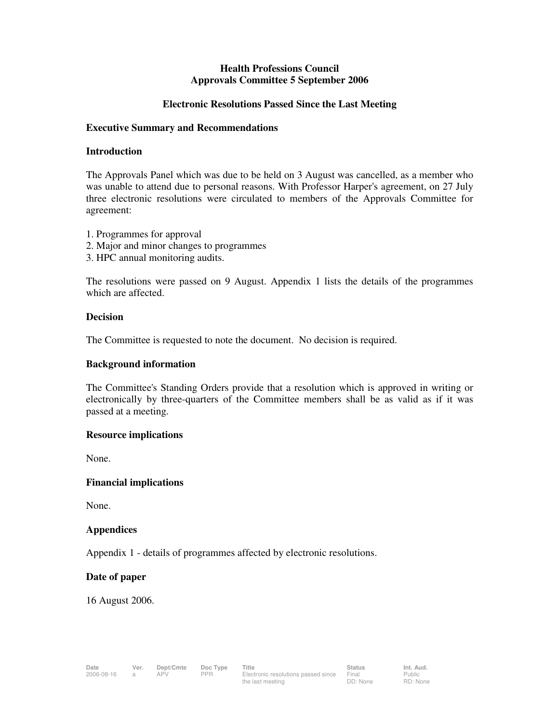# **Health Professions Council Approvals Committee 5 September 2006**

## **Electronic Resolutions Passed Since the Last Meeting**

#### **Executive Summary and Recommendations**

#### **Introduction**

The Approvals Panel which was due to be held on 3 August was cancelled, as a member who was unable to attend due to personal reasons. With Professor Harper's agreement, on 27 July three electronic resolutions were circulated to members of the Approvals Committee for agreement:

- 1. Programmes for approval
- 2. Major and minor changes to programmes
- 3. HPC annual monitoring audits.

The resolutions were passed on 9 August. Appendix 1 lists the details of the programmes which are affected.

#### **Decision**

The Committee is requested to note the document. No decision is required.

## **Background information**

The Committee's Standing Orders provide that a resolution which is approved in writing or electronically by three-quarters of the Committee members shall be as valid as if it was passed at a meeting.

# **Resource implications**

None.

# **Financial implications**

None.

# **Appendices**

Appendix 1 - details of programmes affected by electronic resolutions.

#### **Date of paper**

16 August 2006.

Public RD: None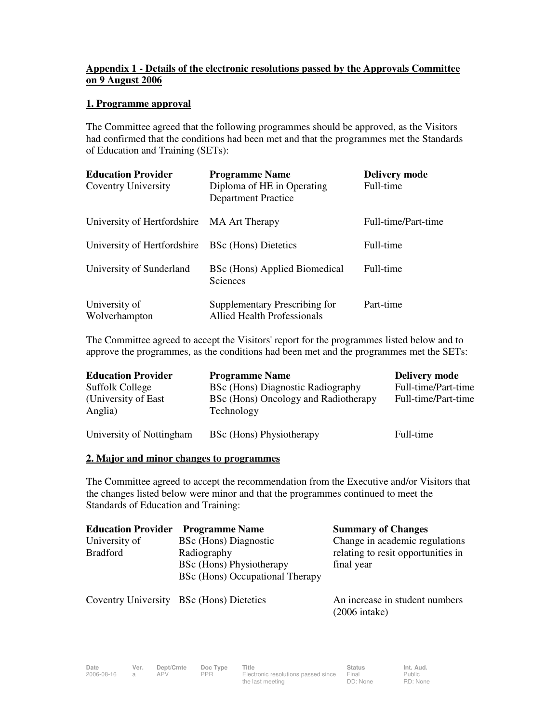# **Appendix 1 - Details of the electronic resolutions passed by the Approvals Committee on 9 August 2006**

## **1. Programme approval**

The Committee agreed that the following programmes should be approved, as the Visitors had confirmed that the conditions had been met and that the programmes met the Standards of Education and Training (SETs):

| <b>Education Provider</b><br><b>Coventry University</b> | <b>Programme Name</b><br>Diploma of HE in Operating<br><b>Department Practice</b> | <b>Delivery mode</b><br>Full-time |
|---------------------------------------------------------|-----------------------------------------------------------------------------------|-----------------------------------|
| University of Hertfordshire MA Art Therapy              |                                                                                   | Full-time/Part-time               |
| University of Hertfordshire                             | <b>BSc</b> (Hons) Dietetics                                                       | Full-time                         |
| University of Sunderland                                | BSc (Hons) Applied Biomedical<br>Sciences                                         | Full-time                         |
| University of<br>Wolverhampton                          | Supplementary Prescribing for<br><b>Allied Health Professionals</b>               | Part-time                         |

The Committee agreed to accept the Visitors' report for the programmes listed below and to approve the programmes, as the conditions had been met and the programmes met the SETs:

| <b>Education Provider</b>       | <b>Programme Name</b>                              | <b>Delivery mode</b> |
|---------------------------------|----------------------------------------------------|----------------------|
| <b>Suffolk College</b>          | BSc (Hons) Diagnostic Radiography                  | Full-time/Part-time  |
| (University of East)<br>Anglia) | BSc (Hons) Oncology and Radiotherapy<br>Technology | Full-time/Part-time  |
| University of Nottingham        | BSc (Hons) Physiotherapy                           | Full-time            |

#### **2. Major and minor changes to programmes**

The Committee agreed to accept the recommendation from the Executive and/or Visitors that the changes listed below were minor and that the programmes continued to meet the Standards of Education and Training:

| <b>Education Provider</b> | <b>Programme Name</b>           | <b>Summary of Changes</b>          |
|---------------------------|---------------------------------|------------------------------------|
| University of             | BSc (Hons) Diagnostic           | Change in academic regulations     |
| <b>Bradford</b>           | Radiography                     | relating to resit opportunities in |
|                           | BSc (Hons) Physiotherapy        | final year                         |
|                           | BSc (Hons) Occupational Therapy |                                    |

Coventry University BSc (Hons) Dietetics An increase in student numbers

(2006 intake)

**Date Ver. Dept/Cmte Doc Type Title Status Status Int. Aud.**<br>2006-08-16 a APV PPR Electronic resolutions passed since Final Public

a APV PPR Electronic resolutions passed since the last meeting

Public RD: None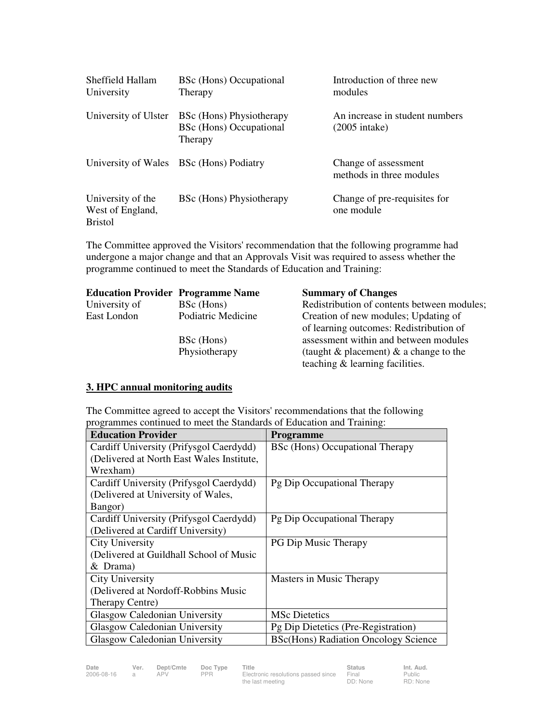| Sheffield Hallam<br>University                          | BSc (Hons) Occupational<br>Therapy                             | Introduction of three new<br>modules                      |
|---------------------------------------------------------|----------------------------------------------------------------|-----------------------------------------------------------|
| University of Ulster                                    | BSc (Hons) Physiotherapy<br>BSc (Hons) Occupational<br>Therapy | An increase in student numbers<br>$(2005 \text{ intake})$ |
| University of Wales                                     | <b>BSc</b> (Hons) Podiatry                                     | Change of assessment<br>methods in three modules          |
| University of the<br>West of England,<br><b>Bristol</b> | BSc (Hons) Physiotherapy                                       | Change of pre-requisites for<br>one module                |

The Committee approved the Visitors' recommendation that the following programme had undergone a major change and that an Approvals Visit was required to assess whether the programme continued to meet the Standards of Education and Training:

| <b>Education Provider Programme Name</b> |                             | <b>Summary of Changes</b>                                                                                                |
|------------------------------------------|-----------------------------|--------------------------------------------------------------------------------------------------------------------------|
| University of                            | BSc (Hons)                  | Redistribution of contents between modules;                                                                              |
| East London                              | Podiatric Medicine          | Creation of new modules; Updating of<br>of learning outcomes: Redistribution of                                          |
|                                          | BSc (Hons)<br>Physiotherapy | assessment within and between modules<br>(taught $\&$ placement) $\&$ a change to the<br>teaching & learning facilities. |

# **3. HPC annual monitoring audits**

The Committee agreed to accept the Visitors' recommendations that the following programmes continued to meet the Standards of Education and Training:

| <b>Education Provider</b>                 | <b>Programme</b>                            |
|-------------------------------------------|---------------------------------------------|
| Cardiff University (Prifysgol Caerdydd)   | BSc (Hons) Occupational Therapy             |
| (Delivered at North East Wales Institute, |                                             |
| Wrexham)                                  |                                             |
| Cardiff University (Prifysgol Caerdydd)   | Pg Dip Occupational Therapy                 |
| (Delivered at University of Wales,        |                                             |
| Bangor)                                   |                                             |
| Cardiff University (Prifysgol Caerdydd)   | Pg Dip Occupational Therapy                 |
| (Delivered at Cardiff University)         |                                             |
| City University                           | PG Dip Music Therapy                        |
| (Delivered at Guildhall School of Music   |                                             |
| $&$ Drama)                                |                                             |
| City University                           | Masters in Music Therapy                    |
| (Delivered at Nordoff-Robbins Music       |                                             |
| Therapy Centre)                           |                                             |
| Glasgow Caledonian University             | <b>MSc</b> Dietetics                        |
| Glasgow Caledonian University             | Pg Dip Dietetics (Pre-Registration)         |
| Glasgow Caledonian University             | <b>BSc(Hons) Radiation Oncology Science</b> |

**Date Ver. Dept/Cmte Doc Type Title Status Status Int. Aud.**<br>2006-08-16 a APV PPR Electronic resolutions passed since Final Public

a APV PPR Electronic resolutions passed since the last meeting